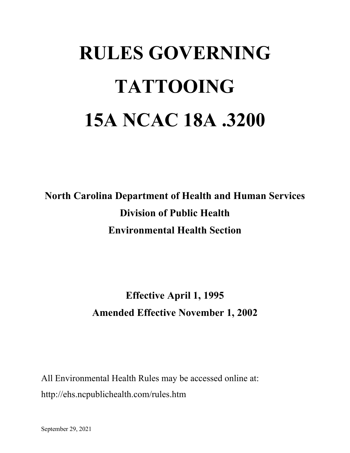# **RULES GOVERNING TATTOOING 15A NCAC 18A .3200**

**North Carolina Department of Health and Human Services Division of Public Health Environmental Health Section**

> **Effective April 1, 1995 Amended Effective November 1, 2002**

All Environmental Health Rules may be accessed online at: http://ehs.ncpublichealth.com/rules.htm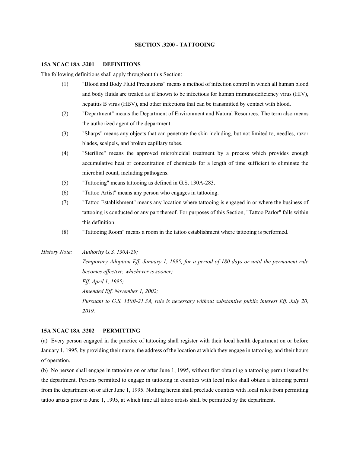## **SECTION .3200 - TATTOOING**

#### **15A NCAC 18A .3201 DEFINITIONS**

The following definitions shall apply throughout this Section:

- (1) "Blood and Body Fluid Precautions" means a method of infection control in which all human blood and body fluids are treated as if known to be infectious for human immunodeficiency virus (HIV), hepatitis B virus (HBV), and other infections that can be transmitted by contact with blood.
- (2) "Department" means the Department of Environment and Natural Resources. The term also means the authorized agent of the department.
- (3) "Sharps" means any objects that can penetrate the skin including, but not limited to, needles, razor blades, scalpels, and broken capillary tubes.
- (4) "Sterilize" means the approved microbicidal treatment by a process which provides enough accumulative heat or concentration of chemicals for a length of time sufficient to eliminate the microbial count, including pathogens.
- (5) "Tattooing" means tattooing as defined in G.S. 130A-283.
- (6) "Tattoo Artist" means any person who engages in tattooing.
- (7) "Tattoo Establishment" means any location where tattooing is engaged in or where the business of tattooing is conducted or any part thereof. For purposes of this Section, "Tattoo Parlor" falls within this definition.
- (8) "Tattooing Room" means a room in the tattoo establishment where tattooing is performed.

*History Note: Authority G.S. 130A-29;*

*Temporary Adoption Eff. January 1, 1995, for a period of 180 days or until the permanent rule becomes effective, whichever is sooner; Eff. April 1, 1995; Amended Eff. November 1, 2002; Pursuant to G.S. 150B-21.3A, rule is necessary without substantive public interest Eff. July 20, 2019.*

## **15A NCAC 18A .3202 PERMITTING**

(a) Every person engaged in the practice of tattooing shall register with their local health department on or before January 1, 1995, by providing their name, the address of the location at which they engage in tattooing, and their hours of operation.

(b) No person shall engage in tattooing on or after June 1, 1995, without first obtaining a tattooing permit issued by the department. Persons permitted to engage in tattooing in counties with local rules shall obtain a tattooing permit from the department on or after June 1, 1995. Nothing herein shall preclude counties with local rules from permitting tattoo artists prior to June 1, 1995, at which time all tattoo artists shall be permitted by the department.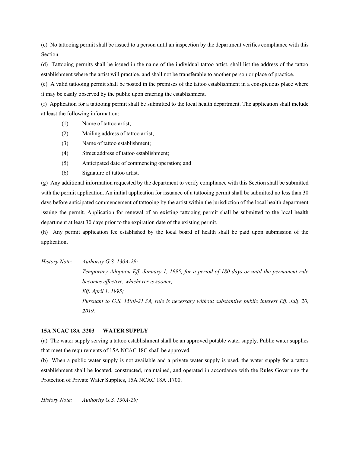(c) No tattooing permit shall be issued to a person until an inspection by the department verifies compliance with this Section.

(d) Tattooing permits shall be issued in the name of the individual tattoo artist, shall list the address of the tattoo establishment where the artist will practice, and shall not be transferable to another person or place of practice.

(e) A valid tattooing permit shall be posted in the premises of the tattoo establishment in a conspicuous place where it may be easily observed by the public upon entering the establishment.

(f) Application for a tattooing permit shall be submitted to the local health department. The application shall include at least the following information:

- (1) Name of tattoo artist;
- (2) Mailing address of tattoo artist;
- (3) Name of tattoo establishment;
- (4) Street address of tattoo establishment;
- (5) Anticipated date of commencing operation; and
- (6) Signature of tattoo artist.

(g) Any additional information requested by the department to verify compliance with this Section shall be submitted with the permit application. An initial application for issuance of a tattooing permit shall be submitted no less than 30 days before anticipated commencement of tattooing by the artist within the jurisdiction of the local health department issuing the permit. Application for renewal of an existing tattooing permit shall be submitted to the local health department at least 30 days prior to the expiration date of the existing permit.

(h) Any permit application fee established by the local board of health shall be paid upon submission of the application.

*History Note: Authority G.S. 130A-29;*

*Temporary Adoption Eff. January 1, 1995, for a period of 180 days or until the permanent rule becomes effective, whichever is sooner; Eff. April 1, 1995; Pursuant to G.S. 150B-21.3A, rule is necessary without substantive public interest Eff. July 20, 2019.*

#### **15A NCAC 18A .3203 WATER SUPPLY**

(a) The water supply serving a tattoo establishment shall be an approved potable water supply. Public water supplies that meet the requirements of 15A NCAC 18C shall be approved.

(b) When a public water supply is not available and a private water supply is used, the water supply for a tattoo establishment shall be located, constructed, maintained, and operated in accordance with the Rules Governing the Protection of Private Water Supplies, 15A NCAC 18A .1700.

*History Note: Authority G.S. 130A-29;*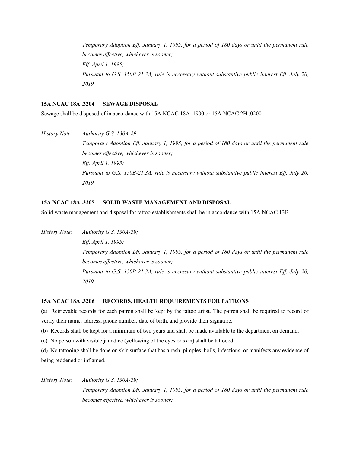*Temporary Adoption Eff. January 1, 1995, for a period of 180 days or until the permanent rule becomes effective, whichever is sooner; Eff. April 1, 1995; Pursuant to G.S. 150B-21.3A, rule is necessary without substantive public interest Eff. July 20, 2019.*

# **15A NCAC 18A .3204 SEWAGE DISPOSAL**

Sewage shall be disposed of in accordance with 15A NCAC 18A .1900 or 15A NCAC 2H .0200.

*History Note: Authority G.S. 130A-29; Temporary Adoption Eff. January 1, 1995, for a period of 180 days or until the permanent rule becomes effective, whichever is sooner; Eff. April 1, 1995; Pursuant to G.S. 150B-21.3A, rule is necessary without substantive public interest Eff. July 20, 2019.*

#### **15A NCAC 18A .3205 SOLID WASTE MANAGEMENT AND DISPOSAL**

Solid waste management and disposal for tattoo establishments shall be in accordance with 15A NCAC 13B.

*History Note: Authority G.S. 130A-29; Eff. April 1, 1995; Temporary Adoption Eff. January 1, 1995, for a period of 180 days or until the permanent rule becomes effective, whichever is sooner; Pursuant to G.S. 150B-21.3A, rule is necessary without substantive public interest Eff. July 20, 2019.*

## **15A NCAC 18A .3206 RECORDS, HEALTH REQUIREMENTS FOR PATRONS**

(a) Retrievable records for each patron shall be kept by the tattoo artist. The patron shall be required to record or verify their name, address, phone number, date of birth, and provide their signature.

(b) Records shall be kept for a minimum of two years and shall be made available to the department on demand.

(c) No person with visible jaundice (yellowing of the eyes or skin) shall be tattooed.

(d) No tattooing shall be done on skin surface that has a rash, pimples, boils, infections, or manifests any evidence of being reddened or inflamed.

*History Note: Authority G.S. 130A-29; Temporary Adoption Eff. January 1, 1995, for a period of 180 days or until the permanent rule becomes effective, whichever is sooner;*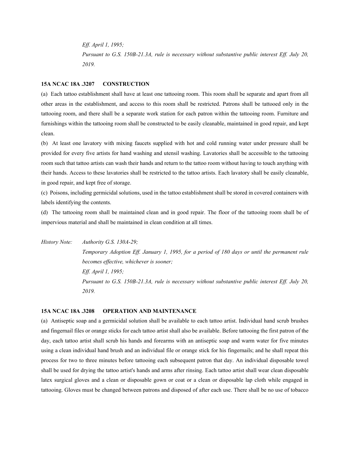*Eff. April 1, 1995; Pursuant to G.S. 150B-21.3A, rule is necessary without substantive public interest Eff. July 20, 2019.*

#### **15A NCAC 18A .3207 CONSTRUCTION**

(a) Each tattoo establishment shall have at least one tattooing room. This room shall be separate and apart from all other areas in the establishment, and access to this room shall be restricted. Patrons shall be tattooed only in the tattooing room, and there shall be a separate work station for each patron within the tattooing room. Furniture and furnishings within the tattooing room shall be constructed to be easily cleanable, maintained in good repair, and kept clean.

(b) At least one lavatory with mixing faucets supplied with hot and cold running water under pressure shall be provided for every five artists for hand washing and utensil washing. Lavatories shall be accessible to the tattooing room such that tattoo artists can wash their hands and return to the tattoo room without having to touch anything with their hands. Access to these lavatories shall be restricted to the tattoo artists. Each lavatory shall be easily cleanable, in good repair, and kept free of storage.

(c) Poisons, including germicidal solutions, used in the tattoo establishment shall be stored in covered containers with labels identifying the contents.

(d) The tattooing room shall be maintained clean and in good repair. The floor of the tattooing room shall be of impervious material and shall be maintained in clean condition at all times.

*History Note: Authority G.S. 130A-29; Temporary Adoption Eff. January 1, 1995, for a period of 180 days or until the permanent rule becomes effective, whichever is sooner; Eff. April 1, 1995; Pursuant to G.S. 150B-21.3A, rule is necessary without substantive public interest Eff. July 20, 2019.*

## **15A NCAC 18A .3208 OPERATION AND MAINTENANCE**

(a) Antiseptic soap and a germicidal solution shall be available to each tattoo artist. Individual hand scrub brushes and fingernail files or orange sticks for each tattoo artist shall also be available. Before tattooing the first patron of the day, each tattoo artist shall scrub his hands and forearms with an antiseptic soap and warm water for five minutes using a clean individual hand brush and an individual file or orange stick for his fingernails; and he shall repeat this process for two to three minutes before tattooing each subsequent patron that day. An individual disposable towel shall be used for drying the tattoo artist's hands and arms after rinsing. Each tattoo artist shall wear clean disposable latex surgical gloves and a clean or disposable gown or coat or a clean or disposable lap cloth while engaged in tattooing. Gloves must be changed between patrons and disposed of after each use. There shall be no use of tobacco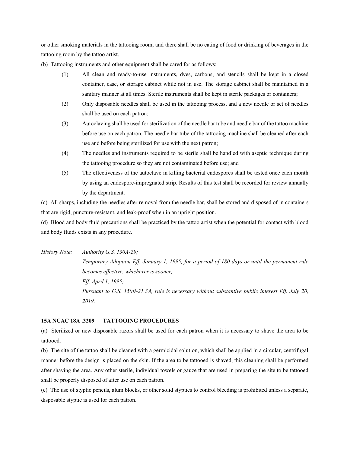or other smoking materials in the tattooing room, and there shall be no eating of food or drinking of beverages in the tattooing room by the tattoo artist.

(b) Tattooing instruments and other equipment shall be cared for as follows:

- (1) All clean and ready-to-use instruments, dyes, carbons, and stencils shall be kept in a closed container, case, or storage cabinet while not in use. The storage cabinet shall be maintained in a sanitary manner at all times. Sterile instruments shall be kept in sterile packages or containers;
- (2) Only disposable needles shall be used in the tattooing process, and a new needle or set of needles shall be used on each patron;
- (3) Autoclaving shall be used for sterilization of the needle bar tube and needle bar of the tattoo machine before use on each patron. The needle bar tube of the tattooing machine shall be cleaned after each use and before being sterilized for use with the next patron;
- (4) The needles and instruments required to be sterile shall be handled with aseptic technique during the tattooing procedure so they are not contaminated before use; and
- (5) The effectiveness of the autoclave in killing bacterial endospores shall be tested once each month by using an endospore-impregnated strip. Results of this test shall be recorded for review annually by the department.

(c) All sharps, including the needles after removal from the needle bar, shall be stored and disposed of in containers that are rigid, puncture-resistant, and leak-proof when in an upright position.

(d) Blood and body fluid precautions shall be practiced by the tattoo artist when the potential for contact with blood and body fluids exists in any procedure.

*History Note: Authority G.S. 130A-29; Temporary Adoption Eff. January 1, 1995, for a period of 180 days or until the permanent rule becomes effective, whichever is sooner; Eff. April 1, 1995; Pursuant to G.S. 150B-21.3A, rule is necessary without substantive public interest Eff. July 20, 2019.*

#### **15A NCAC 18A .3209 TATTOOING PROCEDURES**

(a) Sterilized or new disposable razors shall be used for each patron when it is necessary to shave the area to be tattooed.

(b) The site of the tattoo shall be cleaned with a germicidal solution, which shall be applied in a circular, centrifugal manner before the design is placed on the skin. If the area to be tattooed is shaved, this cleaning shall be performed after shaving the area. Any other sterile, individual towels or gauze that are used in preparing the site to be tattooed shall be properly disposed of after use on each patron.

(c) The use of styptic pencils, alum blocks, or other solid styptics to control bleeding is prohibited unless a separate, disposable styptic is used for each patron.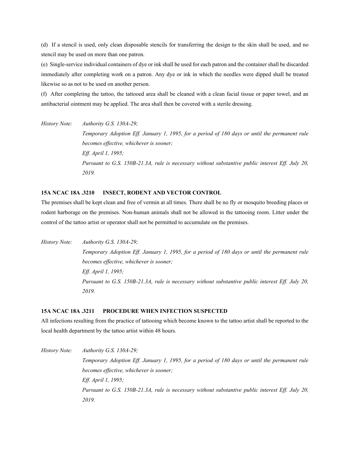(d) If a stencil is used, only clean disposable stencils for transferring the design to the skin shall be used, and no stencil may be used on more than one patron.

(e) Single-service individual containers of dye or ink shall be used for each patron and the container shall be discarded immediately after completing work on a patron. Any dye or ink in which the needles were dipped shall be treated likewise so as not to be used on another person.

(f) After completing the tattoo, the tattooed area shall be cleaned with a clean facial tissue or paper towel, and an antibacterial ointment may be applied. The area shall then be covered with a sterile dressing.

*History Note: Authority G.S. 130A-29; Temporary Adoption Eff. January 1, 1995, for a period of 180 days or until the permanent rule becomes effective, whichever is sooner; Eff. April 1, 1995; Pursuant to G.S. 150B-21.3A, rule is necessary without substantive public interest Eff. July 20, 2019.*

## **15A NCAC 18A .3210 INSECT, RODENT AND VECTOR CONTROL**

The premises shall be kept clean and free of vermin at all times. There shall be no fly or mosquito breeding places or rodent harborage on the premises. Non-human animals shall not be allowed in the tattooing room. Litter under the control of the tattoo artist or operator shall not be permitted to accumulate on the premises.

*History Note: Authority G.S. 130A-29; Temporary Adoption Eff. January 1, 1995, for a period of 180 days or until the permanent rule becomes effective, whichever is sooner; Eff. April 1, 1995; Pursuant to G.S. 150B-21.3A, rule is necessary without substantive public interest Eff. July 20, 2019.*

## **15A NCAC 18A .3211 PROCEDURE WHEN INFECTION SUSPECTED**

All infections resulting from the practice of tattooing which become known to the tattoo artist shall be reported to the local health department by the tattoo artist within 48 hours.

*History Note: Authority G.S. 130A-29; Temporary Adoption Eff. January 1, 1995, for a period of 180 days or until the permanent rule becomes effective, whichever is sooner; Eff. April 1, 1995; Pursuant to G.S. 150B-21.3A, rule is necessary without substantive public interest Eff. July 20, 2019.*